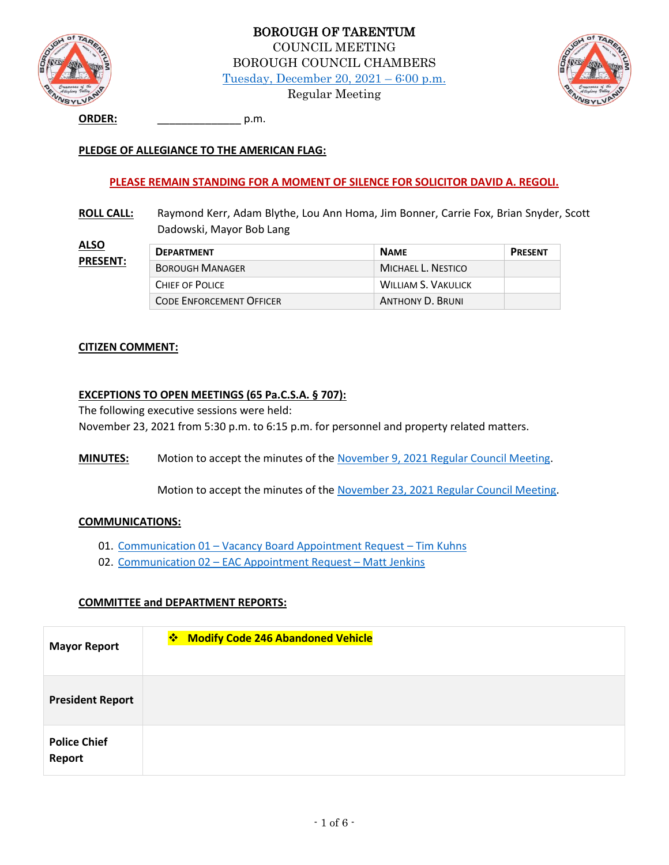



**ORDER:** \_\_\_\_\_\_\_\_\_\_\_\_\_\_ p.m.

### **PLEDGE OF ALLEGIANCE TO THE AMERICAN FLAG:**

#### **PLEASE REMAIN STANDING FOR A MOMENT OF SILENCE FOR SOLICITOR DAVID A. REGOLI.**

**ROLL CALL:** Raymond Kerr, Adam Blythe, Lou Ann Homa, Jim Bonner, Carrie Fox, Brian Snyder, Scott Dadowski, Mayor Bob Lang

| ALSI            |  |
|-----------------|--|
| <b>PRESENT:</b> |  |

| <u>T:</u> | <b>DEPARTMENT</b>               | <b>NAME</b>                | <b>PRESENT</b> |
|-----------|---------------------------------|----------------------------|----------------|
|           | <b>BOROUGH MANAGER</b>          | MICHAEL L. NESTICO         |                |
|           | CHIEF OF POLICE                 | <b>WILLIAM S. VAKULICK</b> |                |
|           | <b>CODE ENFORCEMENT OFFICER</b> | <b>ANTHONY D. BRUNI</b>    |                |

#### **CITIZEN COMMENT:**

### **EXCEPTIONS TO OPEN MEETINGS (65 Pa.C.S.A. § 707):**

The following executive sessions were held: November 23, 2021 from 5:30 p.m. to 6:15 p.m. for personnel and property related matters.

**MINUTES:** Motion to accept the minutes of the November 9, 2021 [Regular Council Meeting.](http://tarentumboro.com/wp-content/uploads/2021/12/2021.11.09-Minutes.pdf)

Motion to accept the minutes of the [November 23, 2021 Regular Council Meeting.](http://tarentumboro.com/wp-content/uploads/2021/12/2021.11.23-Minutes.pdf)

#### **COMMUNICATIONS:**

- 01. Communication 01 [Vacancy Board Appointment Request](http://tarentumboro.com/wp-content/uploads/2021/12/Communication-01-Vacancy-Board-Appointment-Request.pdf)  Tim Kuhns
- 02. Communication 02 [EAC Appointment Request](http://tarentumboro.com/wp-content/uploads/2021/12/Communication-02-EAC-Appointment-Request-Jenkins.pdf)  Matt Jenkins

#### **COMMITTEE and DEPARTMENT REPORTS:**

| <b>Mayor Report</b>           | <b>Modify Code 246 Abandoned Vehicle</b> |
|-------------------------------|------------------------------------------|
| <b>President Report</b>       |                                          |
| <b>Police Chief</b><br>Report |                                          |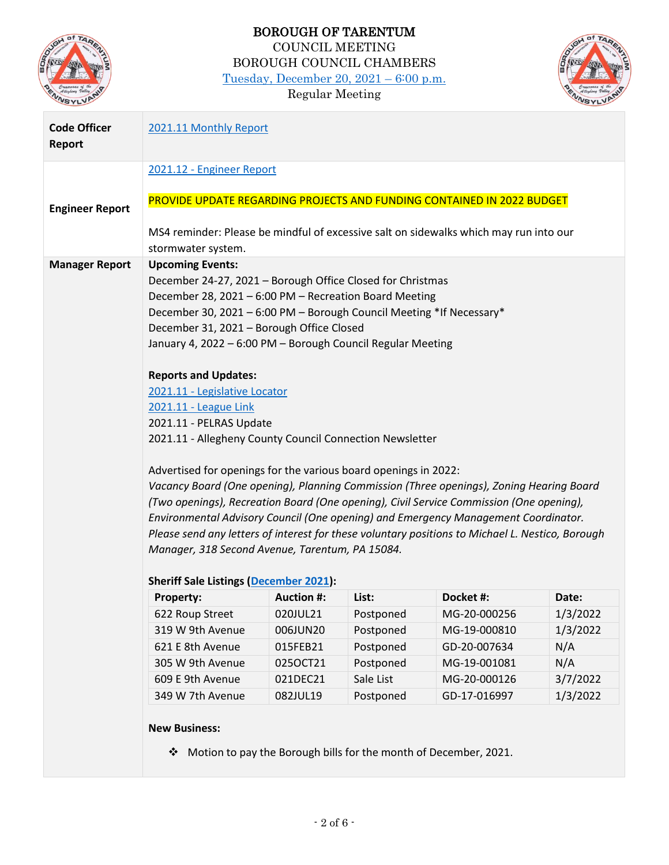

# BOROUGH OF TARENTUM COUNCIL MEETING BOROUGH COUNCIL CHAMBERS [Tuesday, December 20, 2021](http://tarentumboro.com/resources/meetings/2021-12-20-regular-council-meeting) – 6:00 p.m.

Regular Meeting



| <b>Code Officer</b><br><b>Report</b> | 2021.11 Monthly Report                                                                                                                                                                                                                                                                                                                                                                                                                                                                                                                                                                                                                                                                                                                                                                                                                                                                                                                                                                                                    |                      |                        |                                                                  |                 |
|--------------------------------------|---------------------------------------------------------------------------------------------------------------------------------------------------------------------------------------------------------------------------------------------------------------------------------------------------------------------------------------------------------------------------------------------------------------------------------------------------------------------------------------------------------------------------------------------------------------------------------------------------------------------------------------------------------------------------------------------------------------------------------------------------------------------------------------------------------------------------------------------------------------------------------------------------------------------------------------------------------------------------------------------------------------------------|----------------------|------------------------|------------------------------------------------------------------|-----------------|
|                                      | 2021.12 - Engineer Report                                                                                                                                                                                                                                                                                                                                                                                                                                                                                                                                                                                                                                                                                                                                                                                                                                                                                                                                                                                                 |                      |                        |                                                                  |                 |
| <b>Engineer Report</b>               | PROVIDE UPDATE REGARDING PROJECTS AND FUNDING CONTAINED IN 2022 BUDGET<br>MS4 reminder: Please be mindful of excessive salt on sidewalks which may run into our                                                                                                                                                                                                                                                                                                                                                                                                                                                                                                                                                                                                                                                                                                                                                                                                                                                           |                      |                        |                                                                  |                 |
|                                      | stormwater system.                                                                                                                                                                                                                                                                                                                                                                                                                                                                                                                                                                                                                                                                                                                                                                                                                                                                                                                                                                                                        |                      |                        |                                                                  |                 |
| <b>Manager Report</b>                | <b>Upcoming Events:</b><br>December 24-27, 2021 - Borough Office Closed for Christmas<br>December 28, 2021 - 6:00 PM - Recreation Board Meeting<br>December 30, 2021 - 6:00 PM - Borough Council Meeting *If Necessary*<br>December 31, 2021 - Borough Office Closed<br>January 4, 2022 - 6:00 PM - Borough Council Regular Meeting<br><b>Reports and Updates:</b><br>2021.11 - Legislative Locator<br>2021.11 - League Link<br>2021.11 - PELRAS Update<br>2021.11 - Allegheny County Council Connection Newsletter<br>Advertised for openings for the various board openings in 2022:<br>Vacancy Board (One opening), Planning Commission (Three openings), Zoning Hearing Board<br>(Two openings), Recreation Board (One opening), Civil Service Commission (One opening),<br>Environmental Advisory Council (One opening) and Emergency Management Coordinator.<br>Please send any letters of interest for these voluntary positions to Michael L. Nestico, Borough<br>Manager, 318 Second Avenue, Tarentum, PA 15084. |                      |                        |                                                                  |                 |
|                                      | <b>Sheriff Sale Listings (December 2021):</b>                                                                                                                                                                                                                                                                                                                                                                                                                                                                                                                                                                                                                                                                                                                                                                                                                                                                                                                                                                             |                      |                        |                                                                  |                 |
|                                      | Property:                                                                                                                                                                                                                                                                                                                                                                                                                                                                                                                                                                                                                                                                                                                                                                                                                                                                                                                                                                                                                 | <b>Auction #:</b>    | List:                  | Docket #:                                                        | Date:           |
|                                      | 622 Roup Street<br>319 W 9th Avenue                                                                                                                                                                                                                                                                                                                                                                                                                                                                                                                                                                                                                                                                                                                                                                                                                                                                                                                                                                                       | 020JUL21             | Postponed              | MG-20-000256                                                     | 1/3/2022        |
|                                      | 621 E 8th Avenue                                                                                                                                                                                                                                                                                                                                                                                                                                                                                                                                                                                                                                                                                                                                                                                                                                                                                                                                                                                                          | 006JUN20             | Postponed              | MG-19-000810                                                     | 1/3/2022<br>N/A |
|                                      | 305 W 9th Avenue                                                                                                                                                                                                                                                                                                                                                                                                                                                                                                                                                                                                                                                                                                                                                                                                                                                                                                                                                                                                          | 015FEB21<br>0250CT21 | Postponed<br>Postponed | GD-20-007634<br>MG-19-001081                                     | N/A             |
|                                      | 609 E 9th Avenue                                                                                                                                                                                                                                                                                                                                                                                                                                                                                                                                                                                                                                                                                                                                                                                                                                                                                                                                                                                                          | 021DEC21             | Sale List              | MG-20-000126                                                     | 3/7/2022        |
|                                      | 349 W 7th Avenue                                                                                                                                                                                                                                                                                                                                                                                                                                                                                                                                                                                                                                                                                                                                                                                                                                                                                                                                                                                                          | 082JUL19             | Postponed              | GD-17-016997                                                     | 1/3/2022        |
|                                      | <b>New Business:</b><br>❖                                                                                                                                                                                                                                                                                                                                                                                                                                                                                                                                                                                                                                                                                                                                                                                                                                                                                                                                                                                                 |                      |                        | Motion to pay the Borough bills for the month of December, 2021. |                 |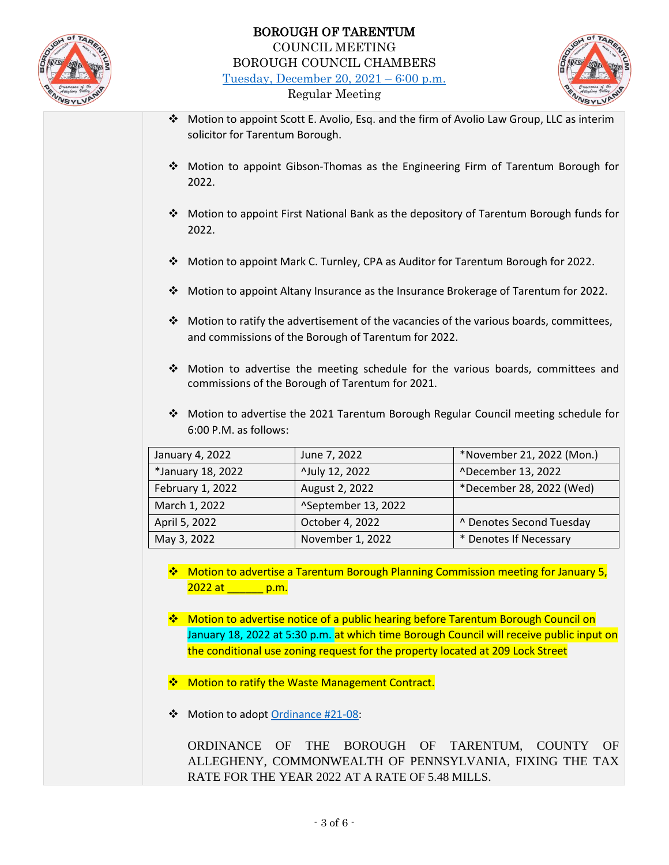

### BOROUGH OF TARENTUM COUNCIL MEETING BOROUGH COUNCIL CHAMBERS [Tuesday, December 20, 2021](http://tarentumboro.com/resources/meetings/2021-12-20-regular-council-meeting) – 6:00 p.m. Regular Meeting



- ❖ Motion to appoint Scott E. Avolio, Esq. and the firm of Avolio Law Group, LLC as interim solicitor for Tarentum Borough.
- ❖ Motion to appoint Gibson-Thomas as the Engineering Firm of Tarentum Borough for 2022.
- ❖ Motion to appoint First National Bank as the depository of Tarentum Borough funds for 2022.
- ❖ Motion to appoint Mark C. Turnley, CPA as Auditor for Tarentum Borough for 2022.
- ❖ Motion to appoint Altany Insurance as the Insurance Brokerage of Tarentum for 2022.
- ❖ Motion to ratify the advertisement of the vacancies of the various boards, committees, and commissions of the Borough of Tarentum for 2022.
- ❖ Motion to advertise the meeting schedule for the various boards, committees and commissions of the Borough of Tarentum for 2021.
- ❖ Motion to advertise the 2021 Tarentum Borough Regular Council meeting schedule for 6:00 P.M. as follows:

| January 4, 2022   | June 7, 2022        | *November 21, 2022 (Mon.) |
|-------------------|---------------------|---------------------------|
| *January 18, 2022 | ^July 12, 2022      | ^December 13, 2022        |
| February 1, 2022  | August 2, 2022      | *December 28, 2022 (Wed)  |
| March 1, 2022     | ^September 13, 2022 |                           |
| April 5, 2022     | October 4, 2022     | ^ Denotes Second Tuesday  |
| May 3, 2022       | November 1, 2022    | * Denotes If Necessary    |

- ❖ Motion to advertise a Tarentum Borough Planning Commission meeting for January 5,  $2022$  at  $p.m.$
- ❖ Motion to advertise notice of a public hearing before Tarentum Borough Council on January 18, 2022 at 5:30 p.m. at which time Borough Council will receive public input on the conditional use zoning request for the property located at 209 Lock Street
- ❖ Motion to ratify the Waste Management Contract.
- ❖ Motion to adopt [Ordinance #21-08:](http://tarentumboro.com/wp-content/uploads/2021/12/21-08-Tax-Rate-Ordinance-Draft.pdf)

ORDINANCE OF THE BOROUGH OF TARENTUM, COUNTY OF ALLEGHENY, COMMONWEALTH OF PENNSYLVANIA, FIXING THE TAX RATE FOR THE YEAR 2022 AT A RATE OF 5.48 MILLS.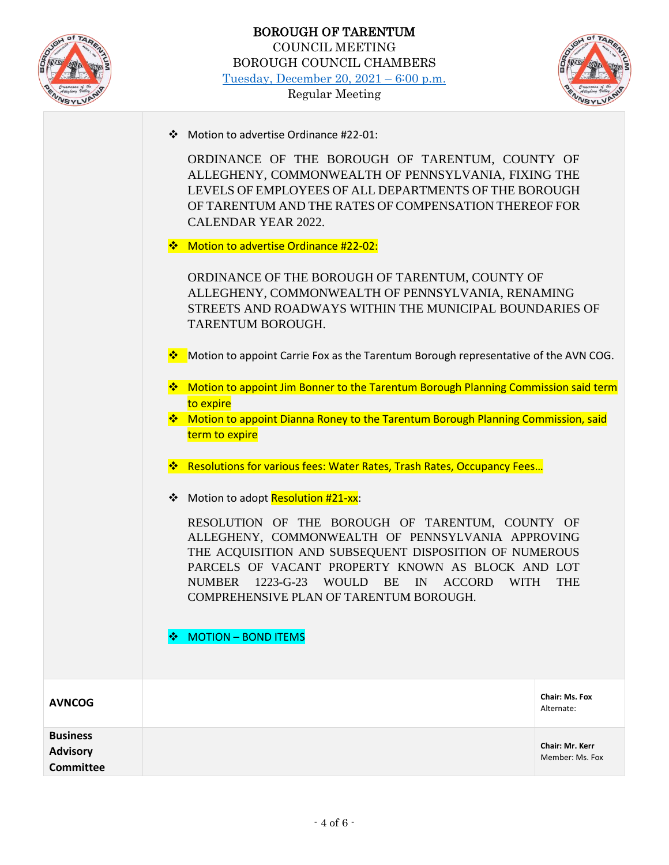



|                  | ❖ Motion to advertise Ordinance #22-01:<br>ORDINANCE OF THE BOROUGH OF TARENTUM, COUNTY OF<br>ALLEGHENY, COMMONWEALTH OF PENNSYLVANIA, FIXING THE<br>LEVELS OF EMPLOYEES OF ALL DEPARTMENTS OF THE BOROUGH<br>OF TARENTUM AND THE RATES OF COMPENSATION THEREOF FOR<br><b>CALENDAR YEAR 2022.</b><br>❖ Motion to advertise Ordinance #22-02:<br>ORDINANCE OF THE BOROUGH OF TARENTUM, COUNTY OF<br>ALLEGHENY, COMMONWEALTH OF PENNSYLVANIA, RENAMING<br>STREETS AND ROADWAYS WITHIN THE MUNICIPAL BOUNDARIES OF<br>TARENTUM BOROUGH.<br>Motion to appoint Carrie Fox as the Tarentum Borough representative of the AVN COG.<br>❖<br>* Motion to appoint Jim Bonner to the Tarentum Borough Planning Commission said term<br>to expire<br>* Motion to appoint Dianna Roney to the Tarentum Borough Planning Commission, said<br>term to expire<br>❖ Resolutions for various fees: Water Rates, Trash Rates, Occupancy Fees<br>Motion to adopt Resolution #21-xx:<br>❖<br>RESOLUTION OF THE BOROUGH OF TARENTUM, COUNTY OF<br>ALLEGHENY, COMMONWEALTH OF PENNSYLVANIA APPROVING<br>THE ACQUISITION AND SUBSEQUENT DISPOSITION OF NUMEROUS<br>PARCELS OF VACANT PROPERTY KNOWN AS BLOCK AND LOT<br><b>NUMBER</b><br>$1223 - G - 23$<br>WOULD<br><b>BE</b><br>IN<br><b>THE</b><br><b>ACCORD</b><br><b>WITH</b><br>COMPREHENSIVE PLAN OF TARENTUM BOROUGH.<br><b>MOTION - BOND ITEMS</b> |
|------------------|-------------------------------------------------------------------------------------------------------------------------------------------------------------------------------------------------------------------------------------------------------------------------------------------------------------------------------------------------------------------------------------------------------------------------------------------------------------------------------------------------------------------------------------------------------------------------------------------------------------------------------------------------------------------------------------------------------------------------------------------------------------------------------------------------------------------------------------------------------------------------------------------------------------------------------------------------------------------------------------------------------------------------------------------------------------------------------------------------------------------------------------------------------------------------------------------------------------------------------------------------------------------------------------------------------------------------------------------------------------------------------------|
| <b>AVNCOG</b>    | <b>Chair: Ms. Fox</b>                                                                                                                                                                                                                                                                                                                                                                                                                                                                                                                                                                                                                                                                                                                                                                                                                                                                                                                                                                                                                                                                                                                                                                                                                                                                                                                                                               |
| <b>Business</b>  | Alternate:                                                                                                                                                                                                                                                                                                                                                                                                                                                                                                                                                                                                                                                                                                                                                                                                                                                                                                                                                                                                                                                                                                                                                                                                                                                                                                                                                                          |
| <b>Advisory</b>  | Chair: Mr. Kerr                                                                                                                                                                                                                                                                                                                                                                                                                                                                                                                                                                                                                                                                                                                                                                                                                                                                                                                                                                                                                                                                                                                                                                                                                                                                                                                                                                     |
| <b>Committee</b> | Member: Ms. Fox                                                                                                                                                                                                                                                                                                                                                                                                                                                                                                                                                                                                                                                                                                                                                                                                                                                                                                                                                                                                                                                                                                                                                                                                                                                                                                                                                                     |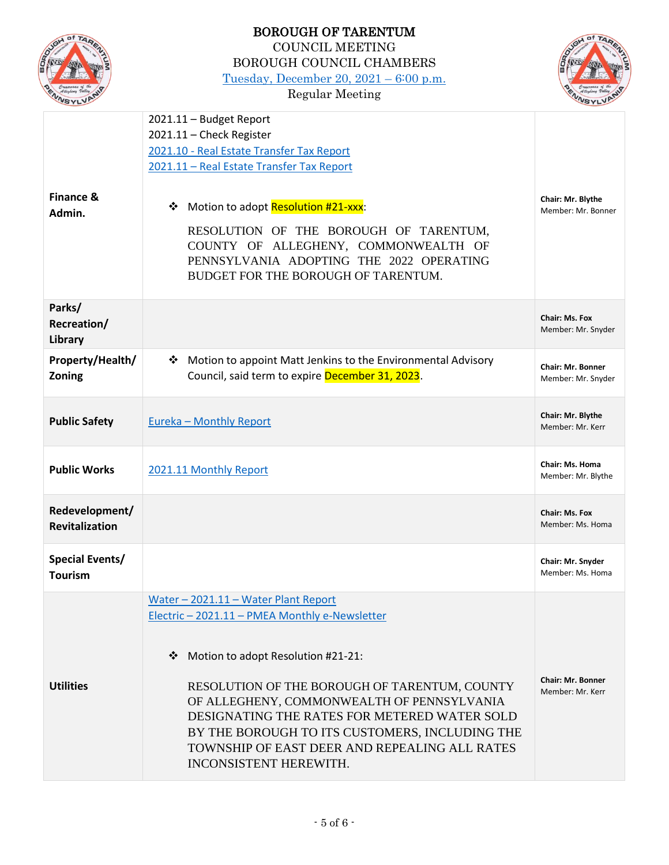|                        | <b>BOROUGH OF TARENTUM</b>                                        |                                       |
|------------------------|-------------------------------------------------------------------|---------------------------------------|
|                        | <b>COUNCIL MEETING</b>                                            |                                       |
|                        | <b>BOROUGH COUNCIL CHAMBERS</b>                                   |                                       |
|                        | Tuesday, December 20, $2021 - 6:00$ p.m.                          |                                       |
|                        | <b>Regular Meeting</b>                                            |                                       |
|                        | 2021.11 - Budget Report                                           |                                       |
|                        | 2021.11 - Check Register                                          |                                       |
|                        | 2021.10 - Real Estate Transfer Tax Report                         |                                       |
|                        | 2021.11 - Real Estate Transfer Tax Report                         |                                       |
|                        |                                                                   |                                       |
| <b>Finance &amp;</b>   |                                                                   | Chair: Mr. Blythe                     |
| Admin.                 | Motion to adopt Resolution #21-xxx:<br>❖                          | Member: Mr. Bonner                    |
|                        | RESOLUTION OF THE BOROUGH OF TARENTUM,                            |                                       |
|                        | COUNTY OF ALLEGHENY, COMMONWEALTH OF                              |                                       |
|                        | PENNSYLVANIA ADOPTING THE 2022 OPERATING                          |                                       |
|                        | BUDGET FOR THE BOROUGH OF TARENTUM.                               |                                       |
|                        |                                                                   |                                       |
| Parks/                 |                                                                   |                                       |
| Recreation/            |                                                                   | Chair: Ms. Fox<br>Member: Mr. Snyder  |
| Library                |                                                                   |                                       |
| Property/Health/       | Motion to appoint Matt Jenkins to the Environmental Advisory<br>❖ | <b>Chair: Mr. Bonner</b>              |
| Zoning                 | Council, said term to expire December 31, 2023.                   | Member: Mr. Snyder                    |
|                        |                                                                   |                                       |
| <b>Public Safety</b>   | <b>Eureka - Monthly Report</b>                                    | Chair: Mr. Blythe                     |
|                        |                                                                   | Member: Mr. Kerr                      |
|                        |                                                                   |                                       |
| <b>Public Works</b>    | 2021.11 Monthly Report                                            | Chair: Ms. Homa<br>Member: Mr. Blythe |
|                        |                                                                   |                                       |
| Redevelopment/         |                                                                   | Chair: Ms. Fox                        |
| Revitalization         |                                                                   | Member: Ms. Homa                      |
|                        |                                                                   |                                       |
| <b>Special Events/</b> |                                                                   | Chair: Mr. Snyder                     |
| <b>Tourism</b>         |                                                                   | Member: Ms. Homa                      |
|                        | Water - 2021.11 - Water Plant Report                              |                                       |
|                        | Electric - 2021.11 - PMEA Monthly e-Newsletter                    |                                       |
|                        |                                                                   |                                       |
|                        | ❖                                                                 |                                       |
|                        | Motion to adopt Resolution #21-21:                                |                                       |
| <b>Utilities</b>       | RESOLUTION OF THE BOROUGH OF TARENTUM, COUNTY                     | <b>Chair: Mr. Bonner</b>              |
|                        | OF ALLEGHENY, COMMONWEALTH OF PENNSYLVANIA                        | Member: Mr. Kerr                      |
|                        | DESIGNATING THE RATES FOR METERED WATER SOLD                      |                                       |
|                        | BY THE BOROUGH TO ITS CUSTOMERS, INCLUDING THE                    |                                       |
|                        | TOWNSHIP OF EAST DEER AND REPEALING ALL RATES                     |                                       |
|                        | INCONSISTENT HEREWITH.                                            |                                       |
|                        |                                                                   |                                       |